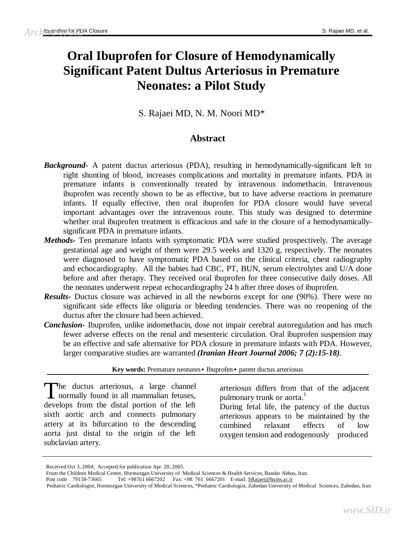# **Oral Ibuprofen for Closure of Hemodynamically Significant Patent Dultus Arteriosus in Premature Neonates: a Pilot Study**

S. Rajaei MD, N. M. Noori MD\*

# **Abstract**

- *Background-* A patent ductus arteriosus (PDA), resulting in hemodynamically-significant left to right shunting of blood, increases complications and mortality in premature infants. PDA in premature infants is conventionally treated by intravenous indomethacin. Intravenous ibuprofen was recently shown to be as effective, but to have adverse reactions in premature infants. If equally effective, then oral ibuprofen for PDA closure would have several important advantages over the intravenous route. This study was designed to determine whether oral ibuprofen treatment is efficacious and safe in the closure of a hemodynamicallysignificant PDA in premature infants.
- *Methods-* Ten premature infants with symptomatic PDA were studied prospectively. The average gestational age and weight of them were 29.5 weeks and 1320 g, respectively. The neonates were diagnosed to have symptomatic PDA based on the clinical criteria, chest radiography and echocardiography. All the babies had CBC, PT, BUN, serum electrolytes and U/A done before and after therapy. They received oral ibuprofen for three consecutive daily doses. All the neonates underwent repeat echocardiography 24 h after three doses of ibuprofen.
- *Results-* Ductus closure was achieved in all the newborns except for one (90%). There were no significant side effects like oliguria or bleeding tendencies. There was no reopening of the ductus after the closure had been achieved.
- *Conclusion-* Ibuprofen, unlike indomethacin, dose not impair cerebral autoregulation and has much fewer adverse effects on the renal and mesenteric circulation. Oral ibuprofen suspension may be an effective and safe alternative for PDA closure in premature infants with PDA. However, larger comparative studies are warranted *(Iranian Heart Journal 2006; 7 (2):15-18).*

**Key words:** Premature neonates▪ Ibuprofen▪ patent ductus arteriosus

he ductus arteriosus, a large channel The ductus arteriosus, a large channel<br>normally found in all mammalian fetuses, develops from the distal portion of the left sixth aortic arch and connects pulmonary artery at its bifurcation to the descending aorta just distal to the origin of the left subclavian artery.

arteriosus differs from that of the adjacent pulmonary trunk or aorta.<sup>1</sup>

During fetal life, the patency of the ductus arteriosus appears to be maintained by the combined relaxant effects of low oxygen tension and endogenously produced

Received Oct 3, 2004; Accepted for publication Apr. 20, 2005.

From the Children Medical Center, Hormozgan University of Medical Sciences & Health Services, Bandar Abbas, Iran.

<sup>01</sup> E-mail: <u>SRajaei@hums.ac.ir</u><br>Cardiologist, Zahodan University of Medical, Sciences, Zahodan, Iran. Post code 79158-73665 Tel: +98761 6667202 Fax: +98 761 6667201 E-mail: [SRajaei@hums.ac.ir](mailto:SRajaei@hums.ac.ir)

Pediatric Cardiologist, Hormozgan University of Medical S Pediatric Cardiologist, Hormozgan University of Medical Sciences, \*Pediatric Cardiologist, Zahedan University of Medical Sciences, Zahedan, Iran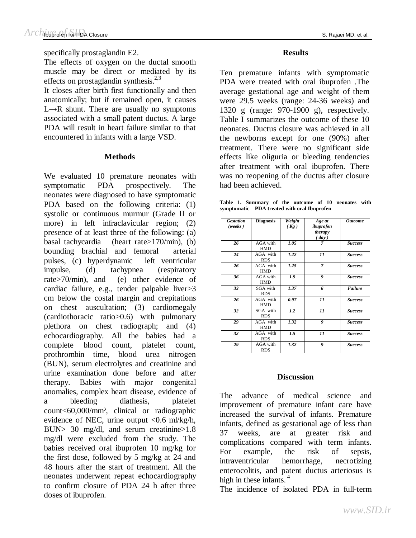specifically prostaglandin E2.

The effects of oxygen on the ductal smooth muscle may be direct or mediated by its effects on prostaglandin synthesis.<sup>2,3</sup>

It closes after birth first functionally and then anatomically; but if remained open, it causes  $L \rightarrow R$  shunt. There are usually no symptoms associated with a small patent ductus. A large PDA will result in heart failure similar to that encountered in infants with a large VSD.

## **Methods**

We evaluated 10 premature neonates with symptomatic PDA prospectively. The neonates were diagnosed to have symptomatic PDA based on the following criteria: (1) systolic or continuous murmur (Grade ІІ or more) in left infraclavicular region; (2) presence of at least three of the following: (a) basal tachycardia (heart rate>170/min), (b) bounding brachial and femoral arterial pulses, (c) hyperdynamic left ventricular impulse, (d) tachypnea (respiratory rate>70/min), and (e) other evidence of cardiac failure, e.g., tender palpable liver>3 cm below the costal margin and crepitations on chest auscultation; (3) cardiomegaly (cardiothoracic ratio>0.6) with pulmonary plethora on chest radiograph; and (4) echocardiography. All the babies had a complete blood count, platelet count, prothrombin time, blood urea nitrogen (BUN), serum electrolytes and creatinine and urine examination done before and after therapy. Babies with major congenital anomalies, complex heart disease, evidence of a bleeding diathesis, platelet count<60,000/mm³, clinical or radiographic evidence of NEC, urine output <0.6 ml/kg/h, BUN> 30 mg/dl, and serum creatinine>1.8 mg/dl were excluded from the study. The babies received oral ibuprofen 10 mg/kg for the first dose, followed by 5 mg/kg at 24 and 48 hours after the start of treatment. All the neonates underwent repeat echocardiography to confirm closure of PDA 24 h after three doses of ibuprofen.

## **Results**

Ten premature infants with symptomatic PDA were treated with oral ibuprofen .The average gestational age and weight of them were 29.5 weeks (range: 24-36 weeks) and 1320 g (range: 970-1900 g), respectively. Table I summarizes the outcome of these 10 neonates. Ductus closure was achieved in all the newborns except for one (90%) after treatment. There were no significant side effects like oliguria or bleeding tendencies after treatment with oral ibuprofen. There was no reopening of the ductus after closure had been achieved.

**Table 1. Summary of the outcome of 10 neonates with symptomatic PDA treated with oral Ibuprofen** 

| <b>Gestation</b><br>(weeks) | <b>Diagnosis</b>       | Weight<br>(Kg) | Age at<br>ibuprofen<br>therapy<br>$\left(\frac{day}{y}\right)$ | <b>Outcome</b> |
|-----------------------------|------------------------|----------------|----------------------------------------------------------------|----------------|
| 26                          | AGA with<br>HMD        | 1.05           | 7                                                              | <b>Success</b> |
| 24                          | AGA with<br><b>RDS</b> | 1.22           | 11                                                             | <b>Success</b> |
| 26                          | AGA with<br><b>HMD</b> | 1.25           | $\overline{7}$                                                 | <b>Success</b> |
| 36                          | AGA with<br><b>HMD</b> | 1.9            | 9                                                              | <b>Success</b> |
| 33                          | SGA with<br><b>RDS</b> | 1.37           | 6                                                              | <b>Failure</b> |
| 26                          | AGA with<br><b>HMD</b> | 0.97           | 11                                                             | <b>Success</b> |
| 32                          | SGA with<br><b>RDS</b> | 1.2            | 11                                                             | <b>Success</b> |
| 29                          | AGA with<br>HMD        | 1.32           | 9                                                              | <b>Success</b> |
| 32                          | AGA with<br><b>RDS</b> | 1.5            | 11                                                             | <b>Success</b> |
| 29                          | AGA with<br><b>RDS</b> | 1.32           | 9                                                              | <b>Success</b> |

## **Discussion**

The advance of medical science and improvement of premature infant care have increased the survival of infants. Premature infants, defined as gestational age of less than 37 weeks, are at greater risk and complications compared with term infants. For example, the risk of sepsis, intraventricular hemorrhage, necrotizing enterocolitis, and patent ductus arteriosus is high in these infants.<sup>4</sup>

The incidence of isolated PDA in full-term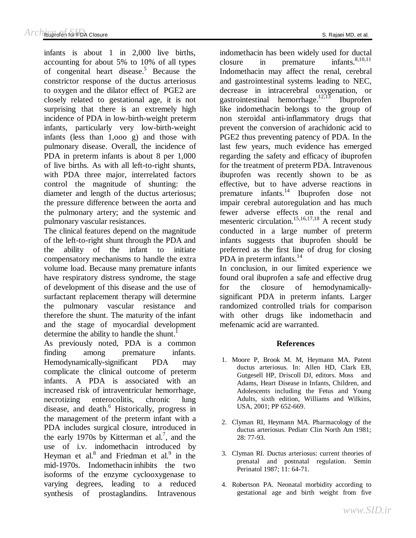infants is about 1 in 2,000 live births, accounting for about 5% to 10% of all types of congenital heart disease.<sup>5</sup> Because the constrictor response of the ductus arteriosus to oxygen and the dilator effect of PGE2 are closely related to gestational age, it is not surprising that there is an extremely high incidence of PDA in low-birth-weight preterm infants, particularly very low-birth-weight infants (less than 1,ooo g) and those with pulmonary disease. Overall, the incidence of PDA in preterm infants is about 8 per 1,000 of live births. As with all left-to-right shunts, with PDA three major, interrelated factors control the magnitude of shunting: the diameter and length of the ductus arteriosus; the pressure difference between the aorta and the pulmonary artery; and the systemic and pulmonary vascular resistances.

The clinical features depend on the magnitude of the left-to-right shunt through the PDA and the ability of the infant to initiate compensatory mechanisms to handle the extra volume load. Because many premature infants have respiratory distress syndrome, the stage of development of this disease and the use of surfactant replacement therapy will determine the pulmonary vascular resistance and therefore the shunt. The maturity of the infant and the stage of myocardial development determine the ability to handle the shunt.<sup>1</sup>

As previously noted, PDA is a common finding among premature infants. Hemodynamically-significant PDA may complicate the clinical outcome of preterm infants. A PDA is associated with an increased risk of intraventricular hemorrhage, necrotizing enterocolitis, chronic lung disease, and death.<sup>6</sup> Historically, progress in the management of the preterm infant with a PDA includes surgical closure, introduced in the early 1970s by Kitterman et al.<sup>7</sup>, and the use of i.v. indomethacin introduced by Heyman et al. $8$  and Friedman et al. $9$  in the mid-1970s. Indomethacin inhibits the two isoforms of the enzyme cyclooxygenase to varying degrees, leading to a reduced synthesis of prostaglandins. Intravenous

indomethacin has been widely used for ductal closure in premature infants. $8,10,11$ Indomethacin may affect the renal, cerebral and gastrointestinal systems leading to NEC, decrease in intracerebral oxygenation, or gastrointestinal hemorrhage.<sup>12,13</sup> 12,13 Ibuprofen like indomethacin belongs to the group of non steroidal anti-inflammatory drugs that prevent the conversion of arachidonic acid to PGE2 thus preventing patency of PDA. In the last few years, much evidence has emerged regarding the safety and efficacy of ibuprofen for the treatment of preterm PDA. Intravenous ibuprofen was recently shown to be as effective, but to have adverse reactions in premature infants. <sup>14</sup> Ibuprofen dose not impair cerebral autoregulation and has much fewer adverse effects on the renal and mesenteric circulation.15,16,17,18 A recent study conducted in a large number of preterm infants suggests that ibuprofen should be preferred as the first line of drug for closing PDA in preterm infants.<sup>14</sup>

In conclusion, in our limited experience we found oral ibuprofen a safe and effective drug for the closure of hemodynamicallysignificant PDA in preterm infants. Larger randomized controlled trials for comparison with other drugs like indomethacin and mefenamic acid are warranted.

# **References**

- 1. Moore P, Brook M. M, Heymann MA. Patent ductus arteriosus. In: Allen HD, Clark EB, Gutgesell HP, Driscoll DJ, editors. Moss and Adams, Heart Disease in Infants, Children, and Adolescents including the Fetus and Young Adults, sixth edition, Williams and Wilkins, USA, 2001; PP 652-669.
- 2. Clyman RI, Heymann MA. Pharmacology of the ductus arteriosus. Pediatr Clin North Am 1981; 28: 77-93.
- 3. Clyman RI. Ductus arteriosus: current theories of prenatal and postnatal regulation. Semin Perinatol 1987; 11: 64-71.
- 4. Robertson PA. Neonatal morbidity according to gestational age and birth weight from five